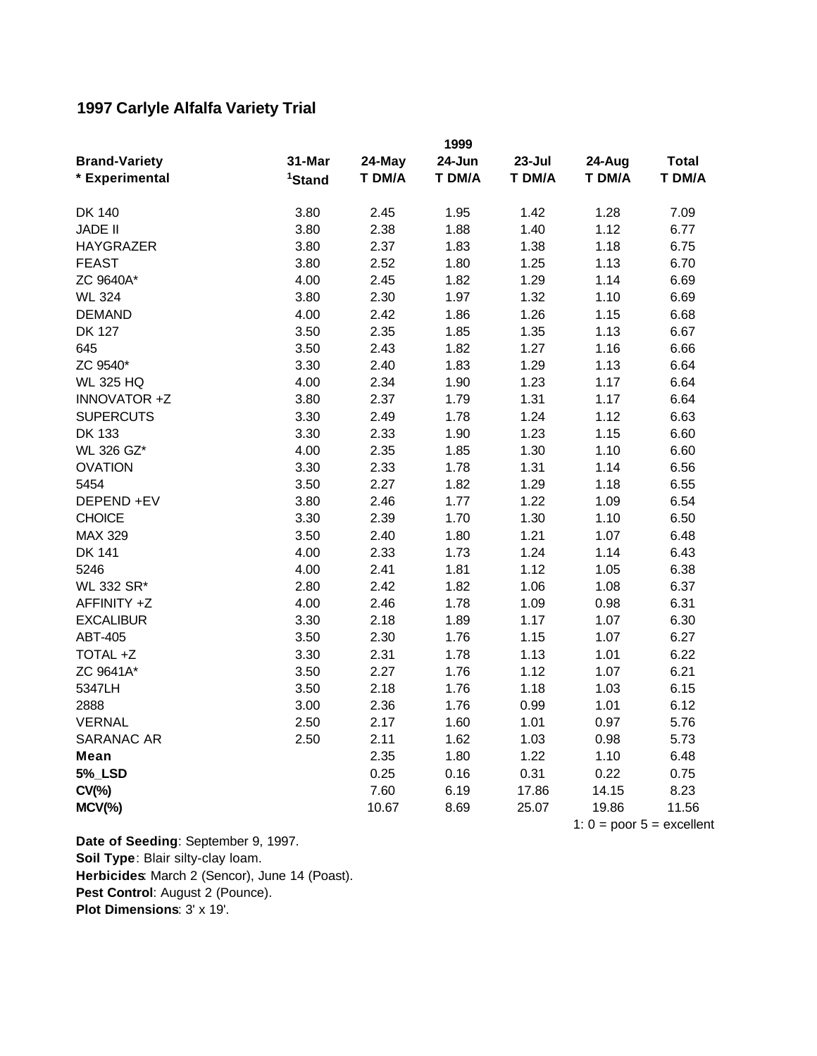## **1997 Carlyle Alfalfa Variety Trial**

|                      |                    |        | 1999   |                             |        |              |  |
|----------------------|--------------------|--------|--------|-----------------------------|--------|--------------|--|
| <b>Brand-Variety</b> | 31-Mar             | 24-May | 24-Jun | $23 - Jul$                  | 24-Aug | <b>Total</b> |  |
| * Experimental       | <sup>1</sup> Stand | T DM/A | T DM/A | T DM/A                      | T DM/A | T DM/A       |  |
|                      |                    |        |        |                             |        |              |  |
| DK 140               | 3.80               | 2.45   | 1.95   | 1.42                        | 1.28   | 7.09         |  |
| <b>JADE II</b>       | 3.80               | 2.38   | 1.88   | 1.40                        | 1.12   | 6.77         |  |
| <b>HAYGRAZER</b>     | 3.80               | 2.37   | 1.83   | 1.38                        | 1.18   | 6.75         |  |
| <b>FEAST</b>         | 3.80               | 2.52   | 1.80   | 1.25                        | 1.13   | 6.70         |  |
| ZC 9640A*            | 4.00               | 2.45   | 1.82   | 1.29                        | 1.14   | 6.69         |  |
| <b>WL 324</b>        | 3.80               | 2.30   | 1.97   | 1.32                        | 1.10   | 6.69         |  |
| <b>DEMAND</b>        | 4.00               | 2.42   | 1.86   | 1.26                        | 1.15   | 6.68         |  |
| <b>DK 127</b>        | 3.50               | 2.35   | 1.85   | 1.35                        | 1.13   | 6.67         |  |
| 645                  | 3.50               | 2.43   | 1.82   | 1.27                        | 1.16   | 6.66         |  |
| ZC 9540*             | 3.30               | 2.40   | 1.83   | 1.29                        | 1.13   | 6.64         |  |
| <b>WL 325 HQ</b>     | 4.00               | 2.34   | 1.90   | 1.23                        | 1.17   | 6.64         |  |
| INNOVATOR +Z         | 3.80               | 2.37   | 1.79   | 1.31                        | 1.17   | 6.64         |  |
| <b>SUPERCUTS</b>     | 3.30               | 2.49   | 1.78   | 1.24                        | 1.12   | 6.63         |  |
| <b>DK 133</b>        | 3.30               | 2.33   | 1.90   | 1.23                        | 1.15   | 6.60         |  |
| WL 326 GZ*           | 4.00               | 2.35   | 1.85   | 1.30                        | 1.10   | 6.60         |  |
| <b>OVATION</b>       | 3.30               | 2.33   | 1.78   | 1.31                        | 1.14   | 6.56         |  |
| 5454                 | 3.50               | 2.27   | 1.82   | 1.29                        | 1.18   | 6.55         |  |
| DEPEND +EV           | 3.80               | 2.46   | 1.77   | 1.22                        | 1.09   | 6.54         |  |
| <b>CHOICE</b>        | 3.30               | 2.39   | 1.70   | 1.30                        | 1.10   | 6.50         |  |
| <b>MAX 329</b>       | 3.50               | 2.40   | 1.80   | 1.21                        | 1.07   | 6.48         |  |
| <b>DK 141</b>        | 4.00               | 2.33   | 1.73   | 1.24                        | 1.14   | 6.43         |  |
| 5246                 | 4.00               | 2.41   | 1.81   | 1.12                        | 1.05   | 6.38         |  |
| WL 332 SR*           | 2.80               | 2.42   | 1.82   | 1.06                        | 1.08   | 6.37         |  |
| AFFINITY +Z          | 4.00               | 2.46   | 1.78   | 1.09                        | 0.98   | 6.31         |  |
| <b>EXCALIBUR</b>     | 3.30               | 2.18   | 1.89   | 1.17                        | 1.07   | 6.30         |  |
| ABT-405              | 3.50               | 2.30   | 1.76   | 1.15                        | 1.07   | 6.27         |  |
| TOTAL +Z             | 3.30               | 2.31   | 1.78   | 1.13                        | 1.01   | 6.22         |  |
| ZC 9641A*            | 3.50               | 2.27   | 1.76   | 1.12                        | 1.07   | 6.21         |  |
| 5347LH               | 3.50               | 2.18   | 1.76   | 1.18                        | 1.03   | 6.15         |  |
| 2888                 | 3.00               | 2.36   | 1.76   | 0.99                        | 1.01   | 6.12         |  |
| <b>VERNAL</b>        | 2.50               | 2.17   | 1.60   | 1.01                        | 0.97   | 5.76         |  |
| SARANAC AR           | 2.50               | 2.11   | 1.62   | 1.03                        | 0.98   | 5.73         |  |
| Mean                 |                    | 2.35   | 1.80   | 1.22                        | 1.10   | 6.48         |  |
| <b>5%_LSD</b>        |                    | 0.25   | 0.16   | 0.31                        | 0.22   | 0.75         |  |
| $CV(\% )$            |                    | 7.60   | 6.19   | 17.86                       | 14.15  | 8.23         |  |
| $MCV(\%)$            |                    | 10.67  | 8.69   | 25.07                       | 19.86  | 11.56        |  |
|                      |                    |        |        | 1: $0 = poor 5 = excellent$ |        |              |  |

**Pest Control**: August 2 (Pounce). **Plot Dimensions**: 3' x 19'. **Date of Seeding**: September 9, 1997. **Soil Type**: Blair silty-clay loam. **Herbicides**: March 2 (Sencor), June 14 (Poast).